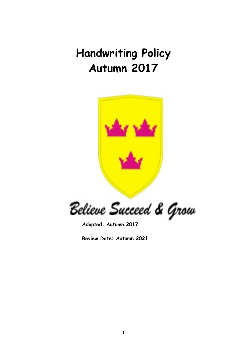# **Handwriting Policy Autumn 2017**



Believe Succeed & Grow

**Adopted: Autumn 2017**

**Review Date: Autumn 2021**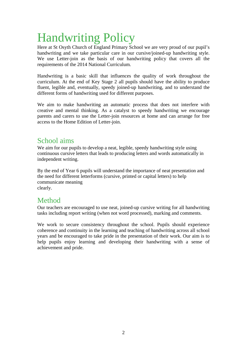# Handwriting Policy

Here at St Osyth Church of England Primary School we are very proud of our pupil's handwriting and we take particular care in our cursive/joined-up handwriting style. We use Letter-join as the basis of our handwriting policy that covers all the requirements of the 2014 National Curriculum.

Handwriting is a basic skill that influences the quality of work throughout the curriculum. At the end of Key Stage 2 all pupils should have the ability to produce fluent, legible and, eventually, speedy joined-up handwriting, and to understand the different forms of handwriting used for different purposes.

We aim to make handwriting an automatic process that does not interfere with creative and mental thinking. As a catalyst to speedy handwriting we encourage parents and carers to use the Letter-join resources at home and can arrange for free access to the Home Edition of Letter-join.

# School aims

We aim for our pupils to develop a neat, legible, speedy handwriting style using continuous cursive letters that leads to producing letters and words automatically in independent writing.

By the end of Year 6 pupils will understand the importance of neat presentation and the need for different letterforms (cursive, printed or capital letters) to help communicate meaning clearly.

# Method

Our teachers are encouraged to use neat, joined-up cursive writing for all handwriting tasks including report writing (when not word processed), marking and comments.

We work to secure consistency throughout the school. Pupils should experience coherence and continuity in the learning and teaching of handwriting across all school years and be encouraged to take pride in the presentation of their work. Our aim is to help pupils enjoy learning and developing their handwriting with a sense of achievement and pride.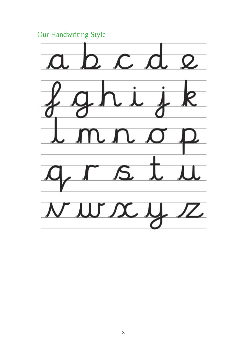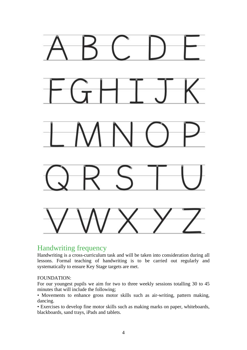

# Handwriting frequency

Handwriting is a cross-curriculum task and will be taken into consideration during all lessons. Formal teaching of handwriting is to be carried out regularly and systematically to ensure Key Stage targets are met.

#### FOUNDATION:

For our youngest pupils we aim for two to three weekly sessions totalling 30 to 45 minutes that will include the following;

• Movements to enhance gross motor skills such as air-writing, pattern making, dancing.

• Exercises to develop fine motor skills such as making marks on paper, whiteboards, blackboards, sand trays, iPads and tablets.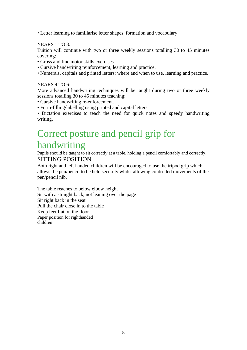• Letter learning to familiarise letter shapes, formation and vocabulary.

#### YEARS 1 TO 3:

Tuition will continue with two or three weekly sessions totalling 30 to 45 minutes covering:

- Gross and fine motor skills exercises.
- Cursive handwriting reinforcement, learning and practice.
- Numerals, capitals and printed letters: where and when to use, learning and practice.

#### YEARS 4 TO 6:

More advanced handwriting techniques will be taught during two or three weekly sessions totalling 30 to 45 minutes teaching:

- Cursive handwriting re-enforcement.
- Form-filling/labelling using printed and capital letters.

• Dictation exercises to teach the need for quick notes and speedy handwriting writing.

# Correct posture and pencil grip for handwriting

Pupils should be taught to sit correctly at a table, holding a pencil comfortably and correctly. SITTING POSITION

Both right and left handed children will be encouraged to use the tripod grip which allows the pen/pencil to be held securely whilst allowing controlled movements of the pen/pencil nib.

The table reaches to below elbow height Sit with a straight back, not leaning over the page Sit right back in the seat Pull the chair close in to the table Keep feet flat on the floor Paper position for righthanded children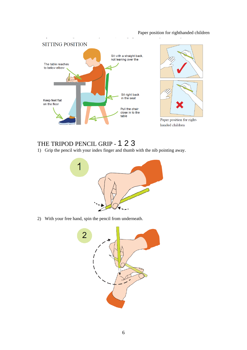#### Paper position for righthanded children



# THE TRIPOD PENCIL GRIP - 1 2 3

1) Grip the pencil with your index finger and thumb with the nib pointing away.



2) With your free hand, spin the pencil from underneath.

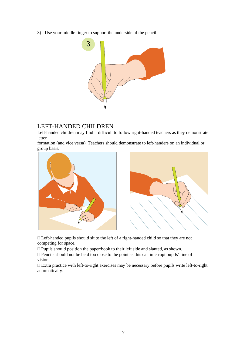3) Use your middle finger to support the underside of the pencil.



### LEFT-HANDED CHILDREN

Left-handed children may find it difficult to follow right-handed teachers as they demonstrate letter

formation (and vice versa). Teachers should demonstrate to left-handers on an individual or group basis.



 Left-handed pupils should sit to the left of a right-handed child so that they are not competing for space.

 $\Box$  Pupils should position the paper/book to their left side and slanted, as shown.

 $\Box$  Pencils should not be held too close to the point as this can interrupt pupils' line of vision.

 Extra practice with left-to-right exercises may be necessary before pupils write left-to-right automatically.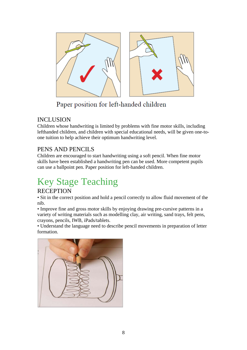

# Paper position for left-handed children

## INCLUSION

Children whose handwriting is limited by problems with fine motor skills, including lefthanded children, and children with special educational needs, will be given one-toone tuition to help achieve their optimum handwriting level.

# PENS AND PENCILS

Children are encouraged to start handwriting using a soft pencil. When fine motor skills have been established a handwriting pen can be used. More competent pupils can use a ballpoint pen. Paper position for left-handed children.

# Key Stage Teaching

## **RECEPTION**

• Sit in the correct position and hold a pencil correctly to allow fluid movement of the nib.

• Improve fine and gross motor skills by enjoying drawing pre-cursive patterns in a variety of writing materials such as modelling clay, air writing, sand trays, felt pens, crayons, pencils, IWB, iPads/tablets.

• Understand the language need to describe pencil movements in preparation of letter formation.

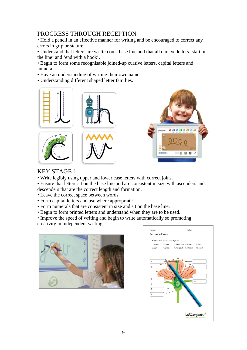## PROGRESS THROUGH RECEPTION

• Hold a pencil in an effective manner for writing and be encouraged to correct any errors in grip or stature.

• Understand that letters are written on a base line and that all cursive letters 'start on the line' and 'end with a hook'.

• Begin to form some recognisable joined-up cursive letters, capital letters and numerals.

• Have an understanding of writing their own name.

• Understanding different shaped letter families.









## KEY STAGE 1

• Write legibly using upper and lower case letters with correct joins.

• Ensure that letters sit on the base line and are consistent in size with ascenders and descenders that are the correct length and formation.

- Leave the correct space between words.
- Form capital letters and use where appropriate.
- Form numerals that are consistent in size and sit on the base line.
- Begin to form printed letters and understand when they are to be used.

• Improve the speed of writing and begin to write automatically so promoting creativity in independent writing.